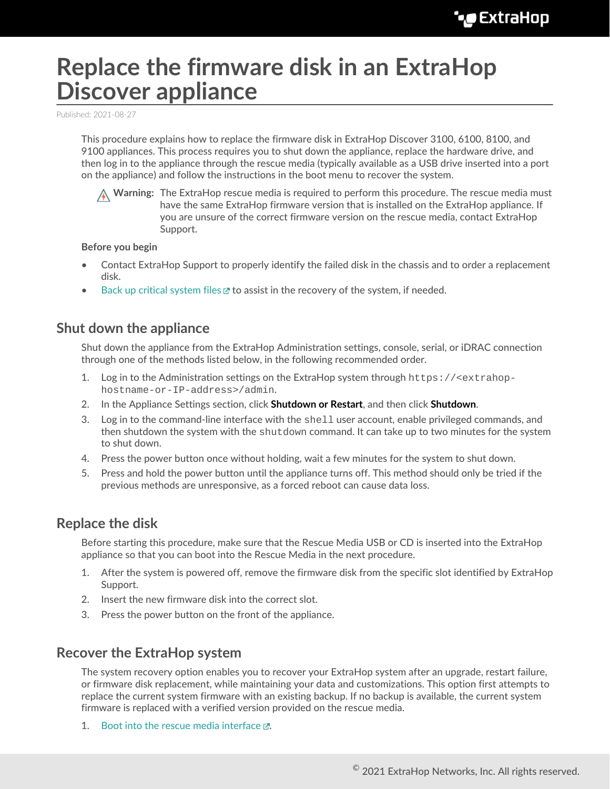# **Replace the firmware disk in an ExtraHop Discover appliance**

Published: 2021-08-27

This procedure explains how to replace the firmware disk in ExtraHop Discover 3100, 6100, 8100, and 9100 appliances. This process requires you to shut down the appliance, replace the hardware drive, and then log in to the appliance through the rescue media (typically available as a USB drive inserted into a port on the appliance) and follow the instructions in the boot menu to recover the system.

**Warning:** The ExtraHop rescue media is required to perform this procedure. The rescue media must have the same ExtraHop firmware version that is installed on the ExtraHop appliance. If you are unsure of the correct firmware version on the rescue media, contact ExtraHop Support.

#### **Before you begin**

- Contact ExtraHop Support to properly identify the failed disk in the chassis and to order a replacement disk.
- [Back up critical system files](https://docs.extrahop.com/8.6/backup_eda_eca/#back-up-a-discover-or-command-appliance)  $\mathbb Z$  to assist in the recovery of the system, if needed.

### **Shut down the appliance**

Shut down the appliance from the ExtraHop Administration settings, console, serial, or iDRAC connection through one of the methods listed below, in the following recommended order.

- 1. Log in to the Administration settings on the ExtraHop system through https://<extrahophostname-or-IP-address>/admin.
- 2. In the Appliance Settings section, click **Shutdown or Restart**, and then click **Shutdown**.
- 3. Log in to the command-line interface with the shell user account, enable privileged commands, and then shutdown the system with the shutdown command. It can take up to two minutes for the system to shut down.
- 4. Press the power button once without holding, wait a few minutes for the system to shut down.
- 5. Press and hold the power button until the appliance turns off. This method should only be tried if the previous methods are unresponsive, as a forced reboot can cause data loss.

#### **Replace the disk**

Before starting this procedure, make sure that the Rescue Media USB or CD is inserted into the ExtraHop appliance so that you can boot into the Rescue Media in the next procedure.

- 1. After the system is powered off, remove the firmware disk from the specific slot identified by ExtraHop Support.
- 2. Insert the new firmware disk into the correct slot.
- 3. Press the power button on the front of the appliance.

## **Recover the ExtraHop system**

The system recovery option enables you to recover your ExtraHop system after an upgrade, restart failure, or firmware disk replacement, while maintaining your data and customizations. This option first attempts to replace the current system firmware with an existing backup. If no backup is available, the current system firmware is replaced with a verified version provided on the rescue media.

1. Boot into the rescue media interface  $\mathbb{Z}$ .